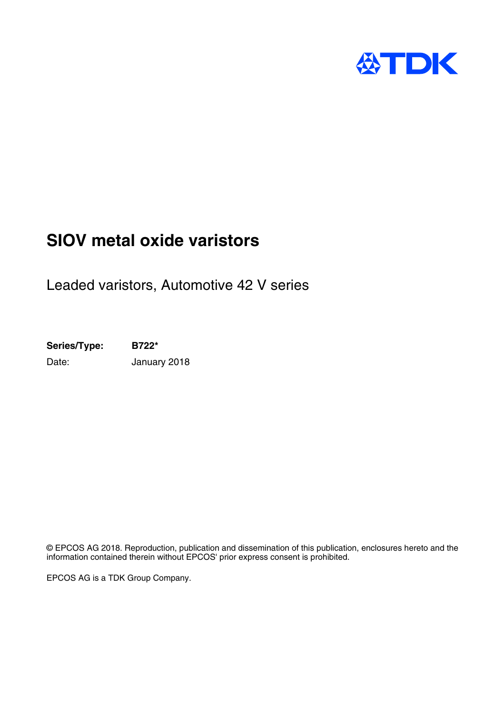

# **SIOV metal oxide varistors**

Leaded varistors, Automotive 42 V series

**Series/Type: B722\*** Date: **January 2018** 

© EPCOS AG 2018. Reproduction, publication and dissemination of this publication, enclosures hereto and the information contained therein without EPCOS' prior express consent is prohibited.

EPCOS AG is a TDK Group Company.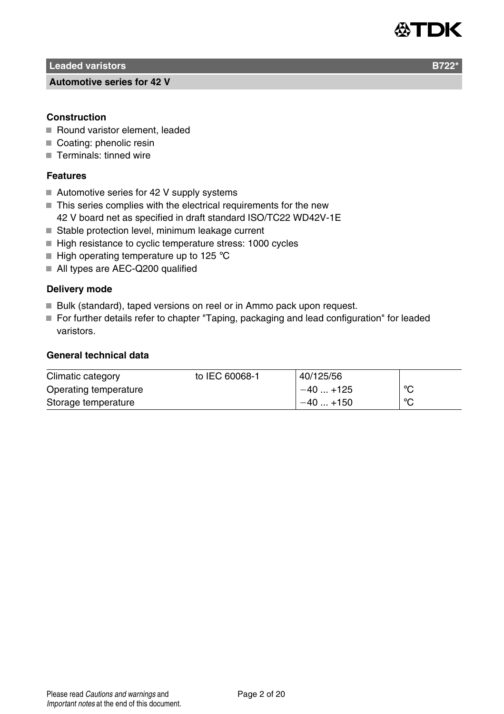

**Leaded varistors B722** 

#### **Automotive series for 42 V**

#### **Construction**

- Round varistor element, leaded
- Coating: phenolic resin
- Terminals: tinned wire

## **Features**

- Automotive series for 42 V supply systems
- $\blacksquare$  This series complies with the electrical requirements for the new 42 V board net as specified in draft standard ISO/TC22 WD42V-1E
- Stable protection level, minimum leakage current
- $\blacksquare$  High resistance to cyclic temperature stress: 1000 cycles
- $\blacksquare$  High operating temperature up to 125 °C
- All types are AEC-Q200 qualified

## **Delivery mode**

- Bulk (standard), taped versions on reel or in Ammo pack upon request.
- For further details refer to chapter "Taping, packaging and lead configuration" for leaded varistors.

#### **General technical data**

| Climatic category     | to IEC 60068-1 | 40/125/56 |    |
|-----------------------|----------------|-----------|----|
| Operating temperature |                | $-40+125$ | ்С |
| Storage temperature   |                | $-40+150$ | °C |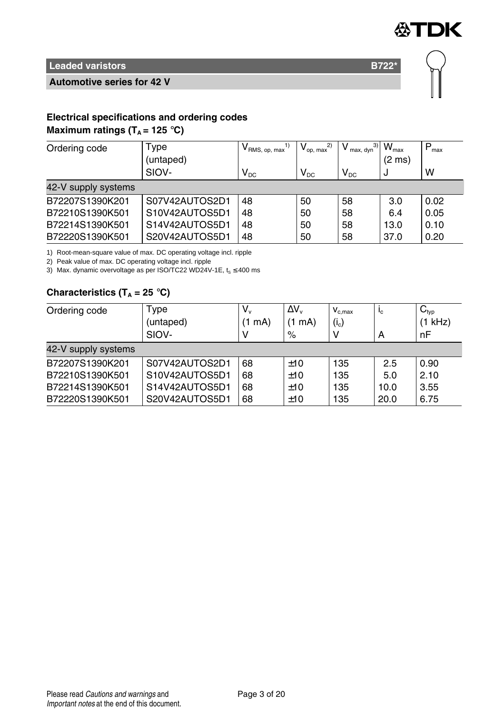

**Automotive series for 42 V**



# **Electrical specifications and ordering codes**

# **Maximum ratings (** $T_A$  **= 125 °C)**

| Ordering code       | Type           | $\mathsf{V}_{\mathsf{RMS},\,\mathsf{op},\,\mathsf{max}}$ | 2)<br>$V_{op. max}$ | 3)<br>max, dyn | $W_{\text{max}}$ | $P_{\text{max}}$ |
|---------------------|----------------|----------------------------------------------------------|---------------------|----------------|------------------|------------------|
|                     | (untaped)      |                                                          |                     |                | $(2 \text{ ms})$ |                  |
|                     | SIOV-          | $\mathsf{V}_\mathsf{DC}$                                 | $V_{DC}$            | $V_{DC}$       | J                | w                |
| 42-V supply systems |                |                                                          |                     |                |                  |                  |
| B72207S1390K201     | S07V42AUTOS2D1 | 48                                                       | 50                  | 58             | 3.0              | 0.02             |
| B72210S1390K501     | S10V42AUTOS5D1 | 48                                                       | 50                  | 58             | 6.4              | 0.05             |
| B72214S1390K501     | S14V42AUTOS5D1 | 48                                                       | 50                  | 58             | 13.0             | 0.10             |
| B72220S1390K501     | S20V42AUTOS5D1 | 48                                                       | 50                  | 58             | 37.0             | 0.20             |

1) Root-mean-square value of max. DC operating voltage incl. ripple

2) Peak value of max. DC operating voltage incl. ripple

3) Max. dynamic overvoltage as per ISO/TC22 WD24V-1E,  $t_s \le 400$  ms

# **Characteristics (T<sup>A</sup> = 25** °**C)**

| Ordering code       | Type<br>(untaped)<br>SIOV- | V.<br>'1 mA) | $\Delta V_{\nu}$<br>(1 mA)<br>% | $V_{c,max}$<br>$(i_c)$ | $I_c$<br>A | $C_{typ}$<br>$(1$ kHz)<br>nF |
|---------------------|----------------------------|--------------|---------------------------------|------------------------|------------|------------------------------|
| 42-V supply systems |                            |              |                                 |                        |            |                              |
| B72207S1390K201     | S07V42AUTOS2D1             | 68           | ±10                             | 135                    | 2.5        | 0.90                         |
| B72210S1390K501     | S10V42AUTOS5D1             | 68           | ±10                             | 135                    | 5.0        | 2.10                         |
| B72214S1390K501     | S14V42AUTOS5D1             | 68           | ±10                             | 135                    | 10.0       | 3.55                         |
| B72220S1390K501     | S20V42AUTOS5D1             | 68           | ±10                             | 135                    | 20.0       | 6.75                         |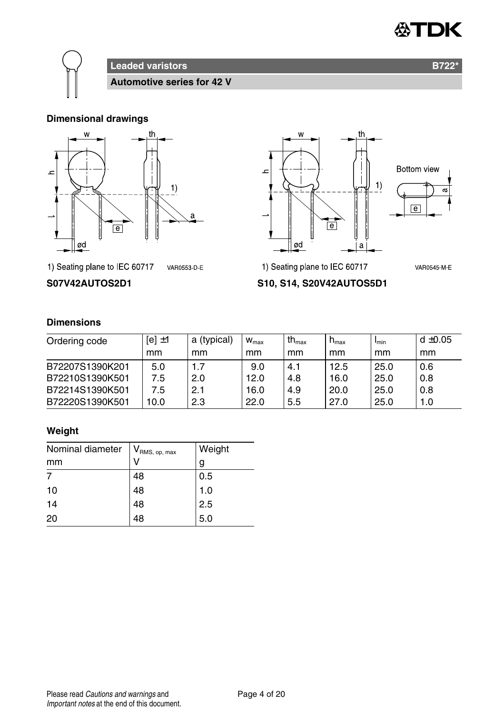



**Leaded varistors B722\* Automotive series for 42 V**

# **Dimensional drawings**





1) Seating plane to IEC 60717 VAR0553-D-E

# **S07V42AUTOS2D1 S10, S14, S20V42AUTOS5D1**

1) Seating plane to IEC 60717

# **Dimensions**

| Ordering code   | $[el \pm 1]$ | a (typical) | $W_{\text{max}}$ | th $_{\text{max}}$ | $n_{\text{max}}$ | I <sub>min</sub> | $d \pm 0.05$ |
|-----------------|--------------|-------------|------------------|--------------------|------------------|------------------|--------------|
|                 | mm           | mm          | mm               | mm                 | mm               | mm               | mm           |
| B72207S1390K201 | 5.0          |             | 9.0              | 4.1                | 12.5             | 25.0             | 0.6          |
| B72210S1390K501 | 7.5          | 2.0         | 12.0             | 4.8                | 16.0             | 25.0             | 0.8          |
| B72214S1390K501 | 7.5          | 2.1         | 16.0             | 4.9                | 20.0             | 25.0             | 0.8          |
| B72220S1390K501 | 10.0         | 2.3         | 22.0             | 5.5                | 27.0             | 25.0             | 1.0          |

# **Weight**

| Nominal diameter | $V_{\mathsf{RMS}, op, max}$ | Weight |
|------------------|-----------------------------|--------|
| mm               |                             | g      |
|                  | 48                          | 0.5    |
| 10               | 48                          | 1.0    |
| 14               | 48                          | 2.5    |
| 20               | 48                          | 5.0    |

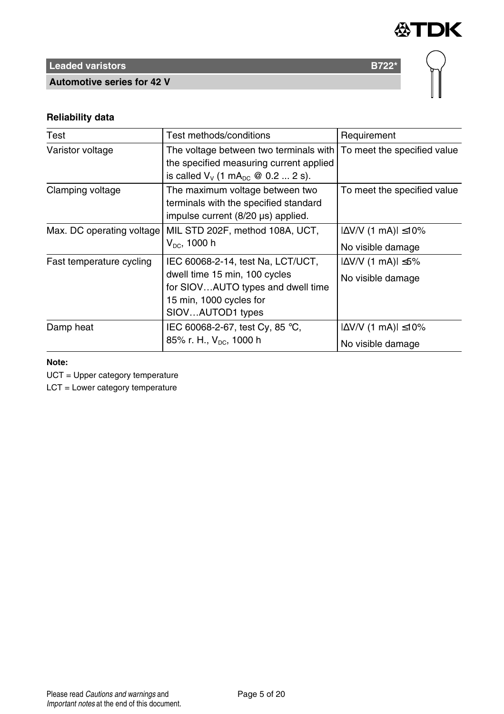

**Automotive series for 42 V**



# **Reliability data**

| Test                      | Test methods/conditions                                                                                                                                                    | Requirement                                            |
|---------------------------|----------------------------------------------------------------------------------------------------------------------------------------------------------------------------|--------------------------------------------------------|
| Varistor voltage          | The voltage between two terminals with   To meet the specified value<br>the specified measuring current applied<br>is called $V_v$ (1 mA <sub>pc</sub> $\omega$ 0.2  2 s). |                                                        |
| Clamping voltage          | The maximum voltage between two<br>terminals with the specified standard<br>impulse current (8/20 µs) applied.                                                             | To meet the specified value                            |
| Max. DC operating voltage | MIL STD 202F, method 108A, UCT,<br>$V_{DC}$ , 1000 h                                                                                                                       | $ \Delta V/V$ (1 mA) $ \leq 10\%$<br>No visible damage |
| Fast temperature cycling  | IEC 60068-2-14, test Na, LCT/UCT,<br>dwell time 15 min, 100 cycles<br>for SIOVAUTO types and dwell time<br>15 min, 1000 cycles for<br>SIOVAUTOD1 types                     | $ \Delta V/V$ (1 mA) $ \leq 5\%$<br>No visible damage  |
| Damp heat                 | IEC 60068-2-67, test Cy, 85 °C,<br>85% r. H., V <sub>pc</sub> , 1000 h                                                                                                     | $ \Delta V/V$ (1 mA) $ \leq 10\%$<br>No visible damage |

# **Note:**

UCT = Upper category temperature

LCT = Lower category temperature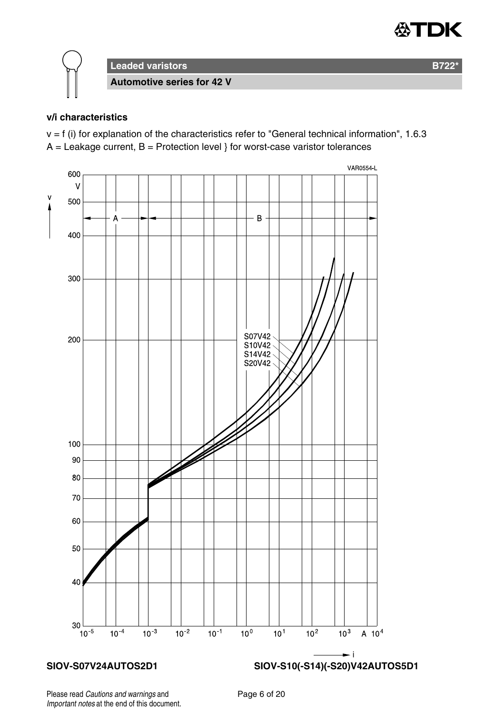



## **v/i characteristics**

 $v = f$  (i) for explanation of the characteristics refer to "General technical information", 1.6.3  $A =$  Leakage current,  $B =$  Protection level } for worst-case varistor tolerances



Please read Cautions and warnings and <br>
Page 6 of 20 Important notes at the end of this document.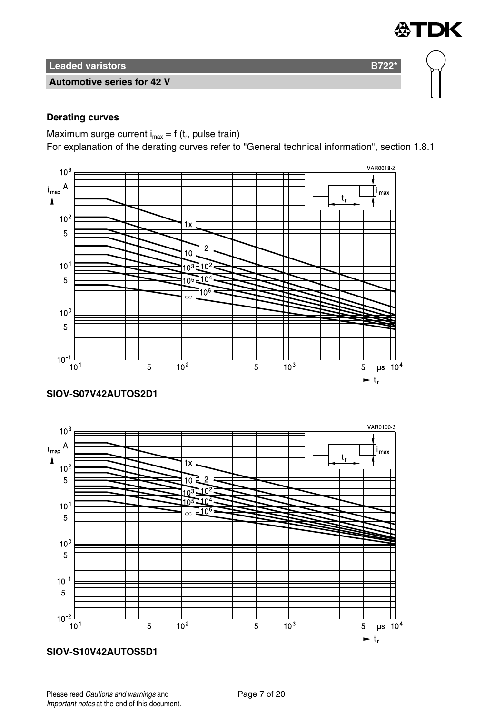# **Automotive series for 42 V**

# **Derating curves**

Maximum surge current  $i_{max} = f(t_r)$ , pulse train)

For explanation of the derating curves refer to "General technical information", section 1.8.1

∰TDK



# **SIOV-S07V42AUTOS2D1**



# **SIOV-S10V42AUTOS5D1**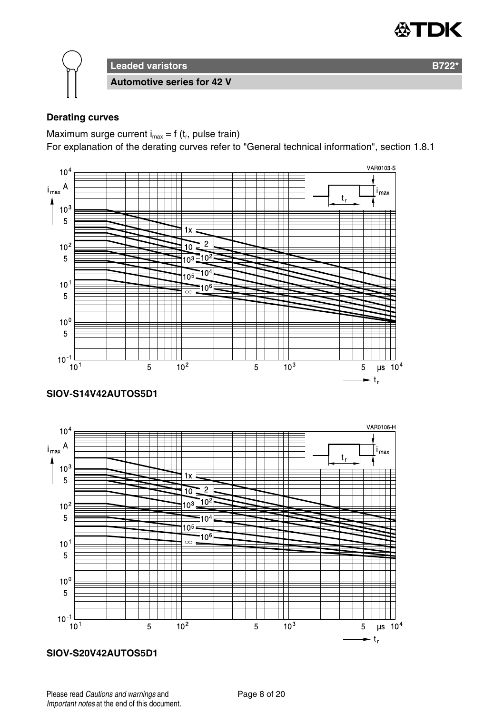

**Leaded varistors B722\* Automotive series for 42 V**

## **Derating curves**

Maximum surge current  $i_{max} = f(t_r)$ , pulse train)

For explanation of the derating curves refer to "General technical information", section 1.8.1



# **SIOV-S14V42AUTOS5D1**



#### **SIOV-S20V42AUTOS5D1**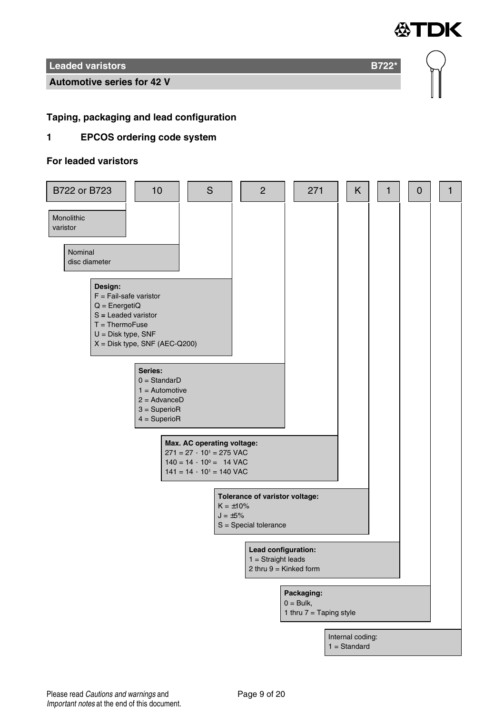

**Automotive series for 42 V**

# **Taping, packaging and lead configuration**

# **1 EPCOS ordering code system**

#### **For leaded varistors**

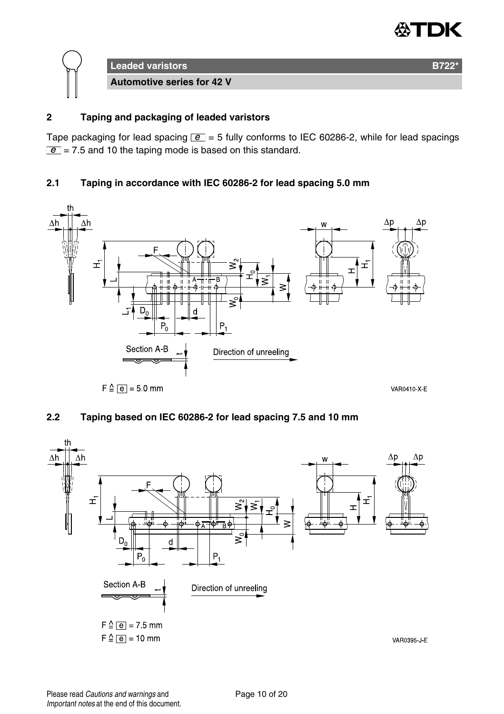



# **2 Taping and packaging of leaded varistors**

Tape packaging for lead spacing  $\boxed{e}$  = 5 fully conforms to IEC 60286-2, while for lead spacings  $\boxed{e}$  = 7.5 and 10 the taping mode is based on this standard.

# **2.1 Taping in accordance with IEC 60286-2 for lead spacing 5.0 mm**



# **2.2 Taping based on IEC 60286-2 for lead spacing 7.5 and 10 mm**

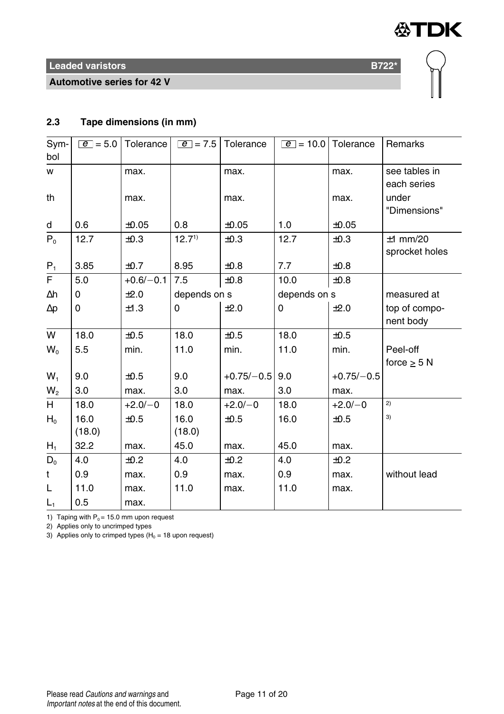

**Automotive series for 42 V**



# **2.3 Tape dimensions (in mm)**

| Sym-           | $ e  = 5.0$ | <b>Tolerance</b> | $ e  = 7.5$  | Tolerance    | $\boxed{e}$ = 10.0 Tolerance |              | Remarks          |
|----------------|-------------|------------------|--------------|--------------|------------------------------|--------------|------------------|
| bol            |             |                  |              |              |                              |              |                  |
| W              |             | max.             |              | max.         |                              | max.         | see tables in    |
|                |             |                  |              |              |                              |              | each series      |
| th             |             | max.             |              | max.         |                              | max.         | under            |
|                |             |                  |              |              |                              |              | "Dimensions"     |
| d              | 0.6         | ±0.05            | 0.8          | $\pm 0.05$   | 1.0                          | $\pm 0.05$   |                  |
| $P_0$          | 12.7        | ±0.3             | $12.7^{1}$   | ±0.3         | 12.7                         | ±0.3         | $±1$ mm/20       |
|                |             |                  |              |              |                              |              | sprocket holes   |
| $P_1$          | 3.85        | ±0.7             | 8.95         | ±0.8         | 7.7                          | ±0.8         |                  |
| F              | 5.0         | $+0.6/-0.1$      | 7.5          | $\pm 0.8$    | 10.0                         | ±0.8         |                  |
| $\Delta h$     | 0           | ±2.0             | depends on s |              | depends on s                 |              | measured at      |
| $\Delta p$     | 0           | ±1.3             | 0            | ±2.0         | 0                            | ±2.0         | top of compo-    |
|                |             |                  |              |              |                              |              | nent body        |
| W              | 18.0        | ±0.5             | 18.0         | ±0.5         | 18.0                         | ±0.5         |                  |
| $W_0$          | 5.5         | min.             | 11.0         | min.         | 11.0                         | min.         | Peel-off         |
|                |             |                  |              |              |                              |              | force $\geq$ 5 N |
| $W_1$          | 9.0         | ±0.5             | 9.0          | $+0.75/-0.5$ | 9.0                          | $+0.75/-0.5$ |                  |
| W <sub>2</sub> | 3.0         | max.             | 3.0          | max.         | 3.0                          | max.         |                  |
| H              | 18.0        | $+2.0/-0$        | 18.0         | $+2.0/-0$    | 18.0                         | $+2.0/-0$    | 2)               |
| $H_0$          | 16.0        | $\pm 0.5$        | 16.0         | ±0.5         | 16.0                         | ±0.5         | 3)               |
|                | (18.0)      |                  | (18.0)       |              |                              |              |                  |
| $H_1$          | 32.2        | max.             | 45.0         | max.         | 45.0                         | max.         |                  |
| $D_0$          | 4.0         | ±0.2             | 4.0          | ±0.2         | 4.0                          | ±0.2         |                  |
| t              | 0.9         | max.             | 0.9          | max.         | 0.9                          | max.         | without lead     |
| L              | 11.0        | max.             | 11.0         | max.         | 11.0                         | max.         |                  |
| $L_1$          | 0.5         | max.             |              |              |                              |              |                  |

1) Taping with  $P_0 = 15.0$  mm upon request

2) Applies only to uncrimped types

3) Applies only to crimped types ( $H_0 = 18$  upon request)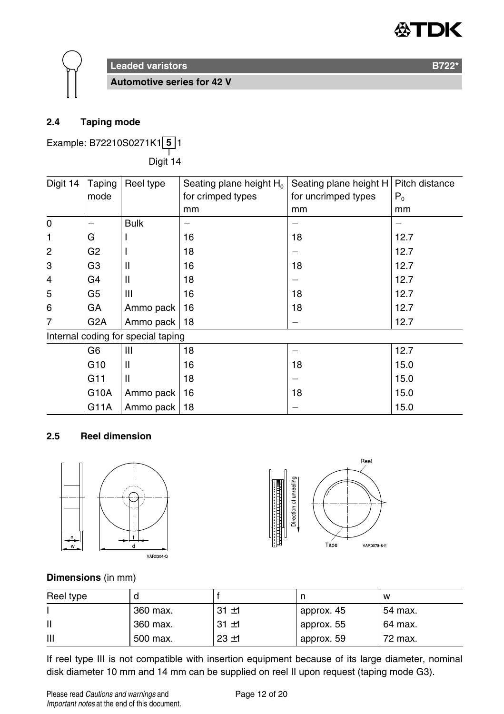



**Automotive series for 42 V**

# **2.4 Taping mode**

Example: B72210S0271K1 **5** 1

——<br>Digit 14

| Digit 14       | Taping           | Reel type                          | Seating plane height H <sub>0</sub> | Seating plane height H | Pitch distance |
|----------------|------------------|------------------------------------|-------------------------------------|------------------------|----------------|
|                | mode             |                                    | for crimped types                   | for uncrimped types    | $P_0$          |
|                |                  |                                    | mm                                  | mm                     | mm             |
| 0              |                  | <b>Bulk</b>                        |                                     |                        |                |
| 1              | G                |                                    | 16                                  | 18                     | 12.7           |
| $\overline{2}$ | G <sub>2</sub>   |                                    | 18                                  |                        | 12.7           |
| 3              | G3               | $\mathsf{I}$                       | 16                                  | 18                     | 12.7           |
| $\overline{4}$ | G4               | $\mathsf{I}$                       | 18                                  |                        | 12.7           |
| 5              | G5               | Ш                                  | 16                                  | 18                     | 12.7           |
| 6              | GA               | Ammo pack                          | 16                                  | 18                     | 12.7           |
| 7              | G <sub>2</sub> A | Ammo pack                          | 18                                  |                        | 12.7           |
|                |                  | Internal coding for special taping |                                     |                        |                |
|                | G6               | Ш                                  | 18                                  |                        | 12.7           |
|                | G <sub>10</sub>  | Ш                                  | 16                                  | 18                     | 15.0           |
|                | G11              | $\mathsf{I}$                       | 18                                  |                        | 15.0           |
|                | G10A             | Ammo pack                          | 16                                  | 18                     | 15.0           |
|                | G11A             | Ammo pack                          | 18                                  |                        | 15.0           |

## **2.5 Reel dimension**





#### **Dimensions** (in mm)

| Reel type |          |          |            | w       |
|-----------|----------|----------|------------|---------|
|           | 360 max. | $31 + 1$ | approx. 45 | 54 max. |
|           | 360 max. | $31 + 1$ | approx. 55 | 64 max. |
| Ш         | 500 max. | $23 + 1$ | approx. 59 | 72 max. |

If reel type III is not compatible with insertion equipment because of its large diameter, nominal disk diameter 10 mm and 14 mm can be supplied on reel II upon request (taping mode G3).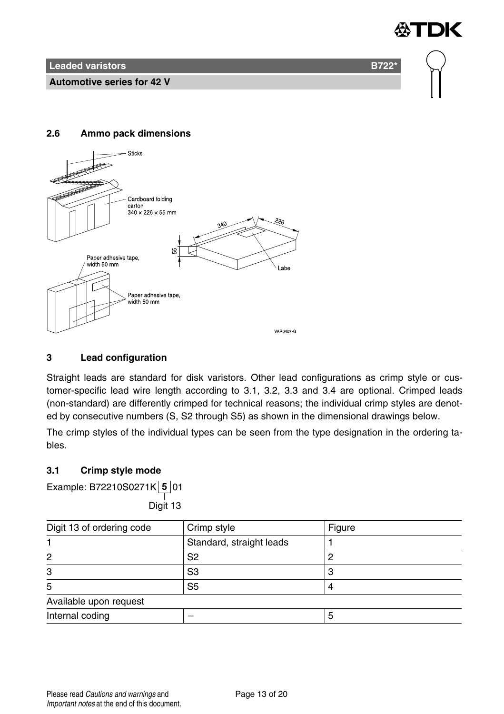**Leaded varistors B722<sup>\*</sup> B722<sup>\*</sup>** 

**Automotive series for 42 V**

# **2.6 Ammo pack dimensions**



# **3 Lead configuration**

Straight leads are standard for disk varistors. Other lead configurations as crimp style or customer-specific lead wire length according to 3.1, 3.2, 3.3 and 3.4 are optional. Crimped leads (non-standard) are differently crimped for technical reasons; the individual crimp styles are denoted by consecutive numbers (S, S2 through S5) as shown in the dimensional drawings below.

The crimp styles of the individual types can be seen from the type designation in the ordering tables.

# **3.1 Crimp style mode**

Example: B72210S0271K **5** 01

——<br>Digit 13

| Digit 13 of ordering code | Crimp style              | Figure |
|---------------------------|--------------------------|--------|
|                           | Standard, straight leads |        |
| 2                         | S2                       |        |
| 3                         | S3                       |        |
| 5                         | S <sub>5</sub>           |        |
| Available upon request    |                          |        |
| Internal coding           |                          |        |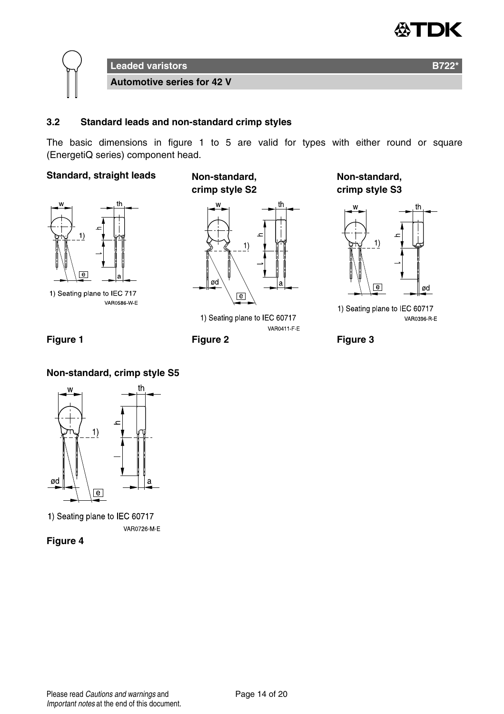



#### **3.2 Standard leads and non-standard crimp styles**

The basic dimensions in figure 1 to 5 are valid for types with either round or square (EnergetiQ series) component head.

# **Standard, straight leads Non-standard,**



1) Seating plane to IEC 717 **VAR0586 W E** 

**crimp style S2**



1) Seating plane to IEC 60717 VAR0411 F E

**Non-standard, crimp style S3**



1) Seating plane to IEC 60717 VAR0396 R E

Figure 1 **Figure 2** Figure 2 **Figure 3** 

# **Non-standard, crimp style S5**



1) Seating plane to IEC 60717 VAR0726 M-E

**Figure 4**

Please read Cautions and warnings and <br>
Page 14 of 20 Important notes at the end of this document.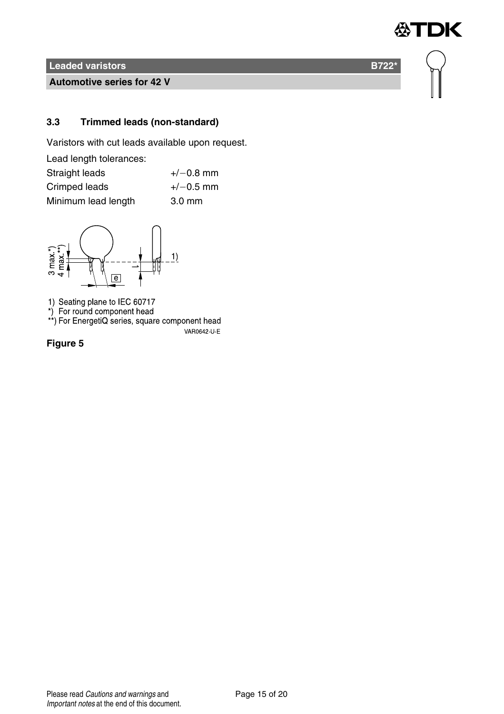**Automotive series for 42 V**

# **3.3 Trimmed leads (non-standard)**

Varistors with cut leads available upon request.

| Lead length tolerances: |                  |
|-------------------------|------------------|
| Straight leads          | $+/-0.8$ mm      |
| Crimped leads           | $+/-0.5$ mm      |
| Minimum lead length     | $3.0 \text{ mm}$ |



1) Seating plane to IEC 60717<br>\*) For round component head<br>\*\*) For EnergetiQ series, square component head

VAR0642-U-E

**Figure 5**



怂

**TDK**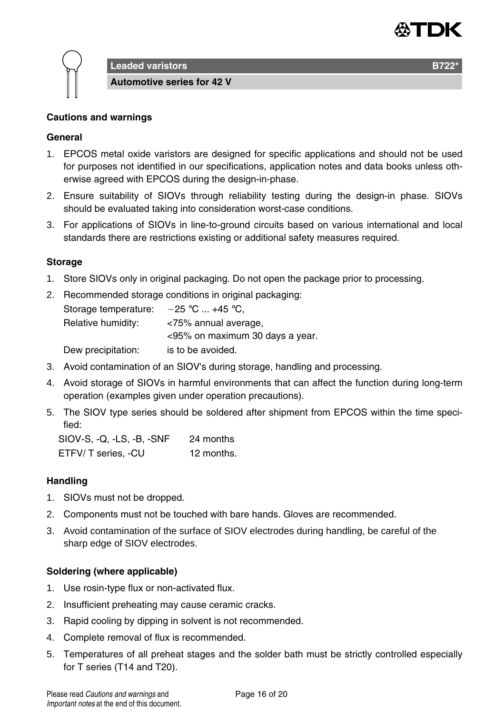

**Leaded varistors B722** 

**Automotive series for 42 V**

#### **Cautions and warnings**

## **General**

- 1. EPCOS metal oxide varistors are designed for specific applications and should not be used for purposes not identified in our specifications, application notes and data books unless otherwise agreed with EPCOS during the design-in-phase.
- 2. Ensure suitability of SIOVs through reliability testing during the design-in phase. SIOVs should be evaluated taking into consideration worst-case conditions.
- 3. For applications of SIOVs in line-to-ground circuits based on various international and local standards there are restrictions existing or additional safety measures required.

## **Storage**

- 1. Store SIOVs only in original packaging. Do not open the package prior to processing.
- 2. Recommended storage conditions in original packaging: Storage temperature:  $-25$  °C ... +45 °C, Relative humidity: <75% annual average, <95% on maximum 30 days a year. Dew precipitation: is to be avoided.
- 3. Avoid contamination of an SIOV's during storage, handling and processing.
- 4. Avoid storage of SIOVs in harmful environments that can affect the function during long-term operation (examples given under operation precautions).
- 5. The SIOV type series should be soldered after shipment from EPCOS within the time specified:

SIOV-S, -Q, -LS, -B, -SNF 24 months ETFV/ T series, -CU 12 months.

#### **Handling**

- 1. SIOVs must not be dropped.
- 2. Components must not be touched with bare hands. Gloves are recommended.
- 3. Avoid contamination of the surface of SIOV electrodes during handling, be careful of the sharp edge of SIOV electrodes.

#### **Soldering (where applicable)**

- 1. Use rosin-type flux or non-activated flux.
- 2. Insufficient preheating may cause ceramic cracks.
- 3. Rapid cooling by dipping in solvent is not recommended.
- 4. Complete removal of flux is recommended.
- 5. Temperatures of all preheat stages and the solder bath must be strictly controlled especially for T series (T14 and T20).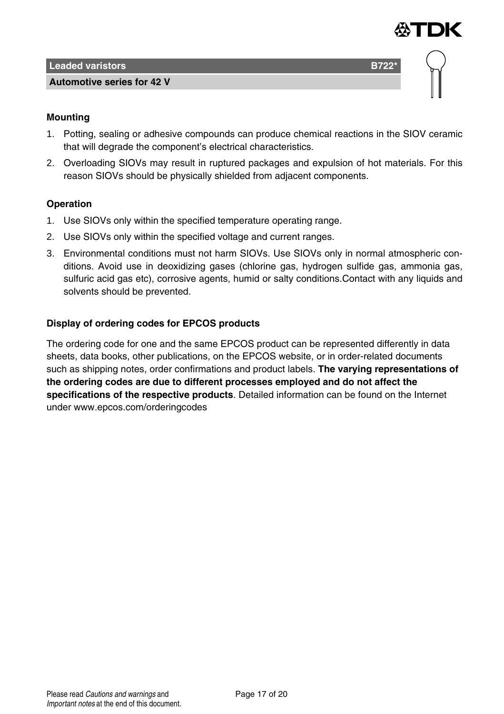

#### **Automotive series for 42 V**



## **Mounting**

- 1. Potting, sealing or adhesive compounds can produce chemical reactions in the SIOV ceramic that will degrade the component's electrical characteristics.
- 2. Overloading SIOVs may result in ruptured packages and expulsion of hot materials. For this reason SIOVs should be physically shielded from adjacent components.

## **Operation**

- 1. Use SIOVs only within the specified temperature operating range.
- 2. Use SIOVs only within the specified voltage and current ranges.
- 3. Environmental conditions must not harm SIOVs. Use SIOVs only in normal atmospheric conditions. Avoid use in deoxidizing gases (chlorine gas, hydrogen sulfide gas, ammonia gas, sulfuric acid gas etc), corrosive agents, humid or salty conditions.Contact with any liquids and solvents should be prevented.

# **Display of ordering codes for EPCOS products**

The ordering code for one and the same EPCOS product can be represented differently in data sheets, data books, other publications, on the EPCOS website, or in order-related documents such as shipping notes, order confirmations and product labels. **The varying representations of the ordering codes are due to different processes employed and do not affect the specifications of the respective products**. Detailed information can be found on the Internet under www.epcos.com/orderingcodes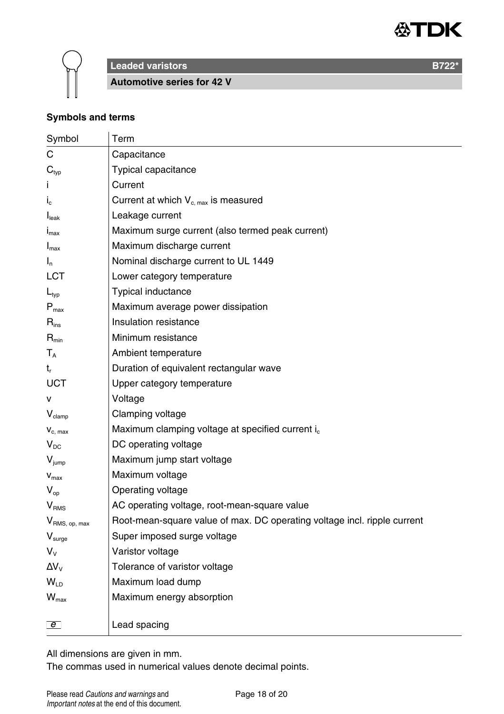



**Leaded varistors B722<sup>\*</sup> B722<sup>\*</sup>** 

**Automotive series for 42 V**

# **Symbols and terms**

| Symbol                    | Term                                                                     |
|---------------------------|--------------------------------------------------------------------------|
| C                         | Capacitance                                                              |
| $\mathbf{C}_{\text{typ}}$ | Typical capacitance                                                      |
| т                         | Current                                                                  |
| $\mathsf{i}_{\mathsf{c}}$ | Current at which $V_{c,max}$ is measured                                 |
| I <sub>leak</sub>         | Leakage current                                                          |
| $I_{\text{max}}$          | Maximum surge current (also termed peak current)                         |
| $I_{\text{max}}$          | Maximum discharge current                                                |
| $I_n$                     | Nominal discharge current to UL 1449                                     |
| LCT                       | Lower category temperature                                               |
| $L_{typ}$                 | Typical inductance                                                       |
| $P_{\text{max}}$          | Maximum average power dissipation                                        |
| $R_{inc}$                 | Insulation resistance                                                    |
| $R_{\text{min}}$          | Minimum resistance                                                       |
| $T_{A}$                   | Ambient temperature                                                      |
| t,                        | Duration of equivalent rectangular wave                                  |
| UCT                       | Upper category temperature                                               |
| $\mathsf{v}$              | Voltage                                                                  |
| $V_{\text{clamp}}$        | Clamping voltage                                                         |
| $V_{c, max}$              | Maximum clamping voltage at specified current i <sub>c</sub>             |
| $V_{DC}$                  | DC operating voltage                                                     |
| $V_{\text{jump}}$         | Maximum jump start voltage                                               |
| $\mathbf{V}_{\text{max}}$ | Maximum voltage                                                          |
| $V_{\rm on}$              | Operating voltage                                                        |
| V <sub>RMS</sub>          | AC operating voltage, root-mean-square value                             |
| V <sub>RMS, op, max</sub> | Root-mean-square value of max. DC operating voltage incl. ripple current |
| V <sub>sure</sub>         | Super imposed surge voltage                                              |
| $V_{V}$                   | Varistor voltage                                                         |
| $\Delta V_{V}$            | Tolerance of varistor voltage                                            |
| $W_{\text{ID}}$           | Maximum load dump                                                        |
| $\mathsf{W}_{\text{max}}$ | Maximum energy absorption                                                |
|                           |                                                                          |
| $\boxed{e}$               | Lead spacing                                                             |

All dimensions are given in mm.

The commas used in numerical values denote decimal points.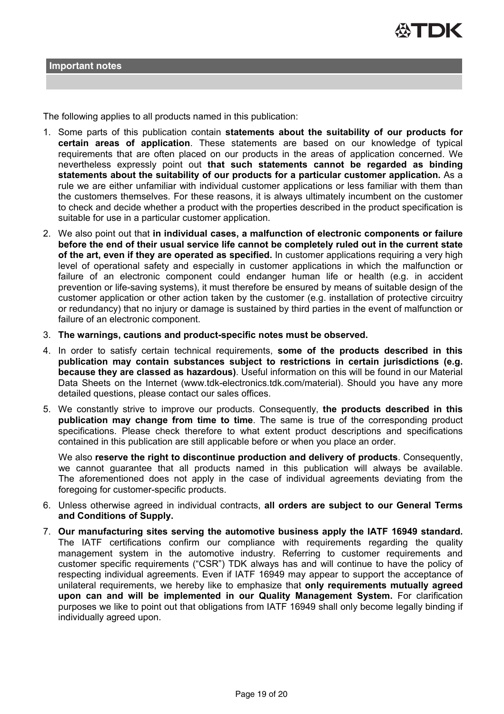

The following applies to all products named in this publication:

- 1. Some parts of this publication contain **statements about the suitability of our products for certain areas of application**. These statements are based on our knowledge of typical requirements that are often placed on our products in the areas of application concerned. We nevertheless expressly point out **that such statements cannot be regarded as binding statements about the suitability of our products for a particular customer application.** As a rule we are either unfamiliar with individual customer applications or less familiar with them than the customers themselves. For these reasons, it is always ultimately incumbent on the customer to check and decide whether a product with the properties described in the product specification is suitable for use in a particular customer application.
- 2. We also point out that **in individual cases, a malfunction of electronic components or failure before the end of their usual service life cannot be completely ruled out in the current state of the art, even if they are operated as specified.** In customer applications requiring a very high level of operational safety and especially in customer applications in which the malfunction or failure of an electronic component could endanger human life or health (e.g. in accident prevention or life-saving systems), it must therefore be ensured by means of suitable design of the customer application or other action taken by the customer (e.g. installation of protective circuitry or redundancy) that no injury or damage is sustained by third parties in the event of malfunction or failure of an electronic component.
- 3. **The warnings, cautions and product-specific notes must be observed.**
- 4. In order to satisfy certain technical requirements, **some of the products described in this publication may contain substances subject to restrictions in certain jurisdictions (e.g. because they are classed as hazardous)**. Useful information on this will be found in our Material Data Sheets on the Internet (www.tdk-electronics.tdk.com/material). Should you have any more detailed questions, please contact our sales offices.
- 5. We constantly strive to improve our products. Consequently, **the products described in this publication may change from time to time**. The same is true of the corresponding product specifications. Please check therefore to what extent product descriptions and specifications contained in this publication are still applicable before or when you place an order.

We also **reserve the right to discontinue production and delivery of products**. Consequently, we cannot guarantee that all products named in this publication will always be available. The aforementioned does not apply in the case of individual agreements deviating from the foregoing for customer-specific products.

- 6. Unless otherwise agreed in individual contracts, **all orders are subject to our General Terms and Conditions of Supply.**
- 7. **Our manufacturing sites serving the automotive business apply the IATF 16949 standard.** The IATF certifications confirm our compliance with requirements regarding the quality management system in the automotive industry. Referring to customer requirements and customer specific requirements ("CSR") TDK always has and will continue to have the policy of respecting individual agreements. Even if IATF 16949 may appear to support the acceptance of unilateral requirements, we hereby like to emphasize that **only requirements mutually agreed upon can and will be implemented in our Quality Management System.** For clarification purposes we like to point out that obligations from IATF 16949 shall only become legally binding if individually agreed upon.